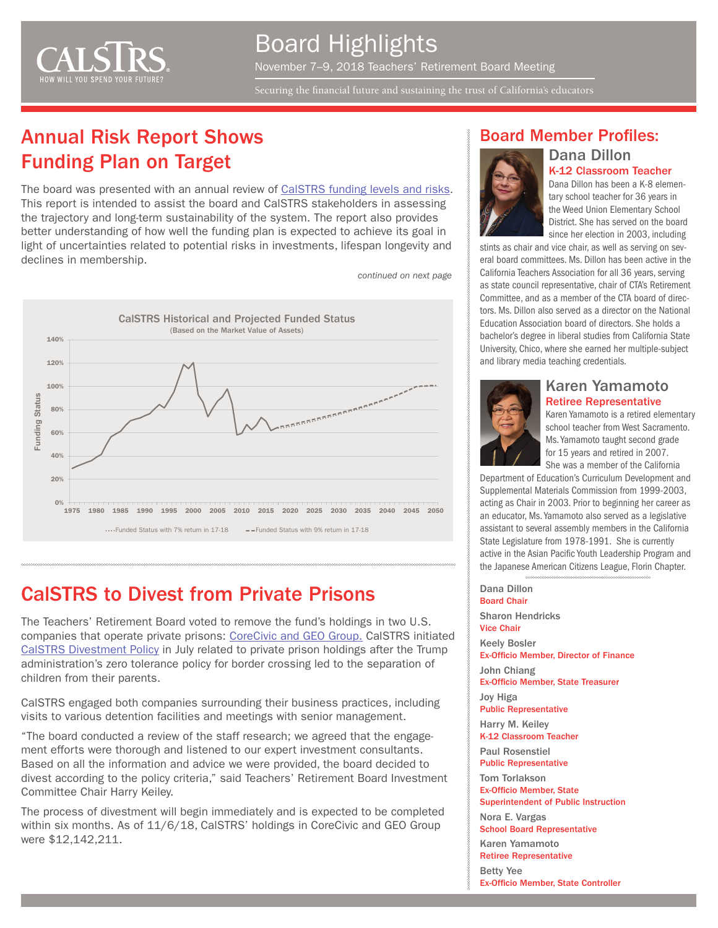

#### Board Highlights November 7–9, 2018 Teachers' Retirement Board Meeting

Securing the financial future and sustaining the trust of California's educators

## Annual Risk Report Shows Funding Plan on Target

The board was presented with an annual review of [CalSTRS funding levels and risks.](http://resources.calstrs.com/publicdocs/Page/CommonPage.aspx?PageName=DocumentDownload&Id=7e7d2245-512f-4ec0-b050-6f521af46a1a) This report is intended to assist the board and CalSTRS stakeholders in assessing the trajectory and long-term sustainability of the system. The report also provides better understanding of how well the funding plan is expected to achieve its goal in light of uncertainties related to potential risks in investments, lifespan longevity and declines in membership.

*continued on next page*



#### CalSTRS to Divest from Private Prisons

The Teachers' Retirement Board voted to remove the fund's holdings in two U.S. companies that operate private prisons: [CoreCivic and GEO Group.](https://www.calstrs.com/news-release/calstrs-divest-private-prisons-0) CalSTRS initiated [CalSTRS Divestment Policy](https://www.calstrs.com/general-information/divestment-policy) in July related to private prison holdings after the Trump administration's zero tolerance policy for border crossing led to the separation of children from their parents.

CalSTRS engaged both companies surrounding their business practices, including visits to various detention facilities and meetings with senior management.

"The board conducted a review of the staff research; we agreed that the engagement efforts were thorough and listened to our expert investment consultants. Based on all the information and advice we were provided, the board decided to divest according to the policy criteria," said Teachers' Retirement Board Investment Committee Chair Harry Keiley.

The process of divestment will begin immediately and is expected to be completed within six months. As of 11/6/18, CalSTRS' holdings in CoreCivic and GEO Group were \$12,142,211.

#### Board Member Profiles:

Dana Dillon



K-12 Classroom Teacher Dana Dillon has been a K-8 elementary school teacher for 36 years in the Weed Union Elementary School District. She has served on the board

since her election in 2003, including stints as chair and vice chair, as well as serving on several board committees. Ms. Dillon has been active in the California Teachers Association for all 36 years, serving as state council representative, chair of CTA's Retirement Committee, and as a member of the CTA board of directors. Ms. Dillon also served as a director on the National Education Association board of directors. She holds a bachelor's degree in liberal studies from California State University, Chico, where she earned her multiple-subject and library media teaching credentials.



#### Karen Yamamoto Retiree Representative

Karen Yamamoto is a retired elementary school teacher from West Sacramento. Ms. Yamamoto taught second grade for 15 years and retired in 2007. She was a member of the California

Department of Education's Curriculum Development and Supplemental Materials Commission from 1999-2003, acting as Chair in 2003. Prior to beginning her career as an educator, Ms. Yamamoto also served as a legislative assistant to several assembly members in the California State Legislature from 1978-1991. She is currently active in the Asian Pacific Youth Leadership Program and the Japanese American Citizens League, Florin Chapter.

Dana Dillon Board Chair Sharon Hendricks Vice Chair

Keely Bosler

Ex-Officio Member, Director of Finance John Chiang

Ex-Officio Member, State Treasurer

Joy Higa Public Representative

Harry M. Keiley K-12 Classroom Teacher

Paul Rosenstiel Public Representative

Tom Torlakson Ex-Officio Member, State Superintendent of Public Instruction

Nora E. Vargas School Board Representative

Karen Yamamoto

Retiree Representative

Betty Yee

Ex-Officio Member, State Controller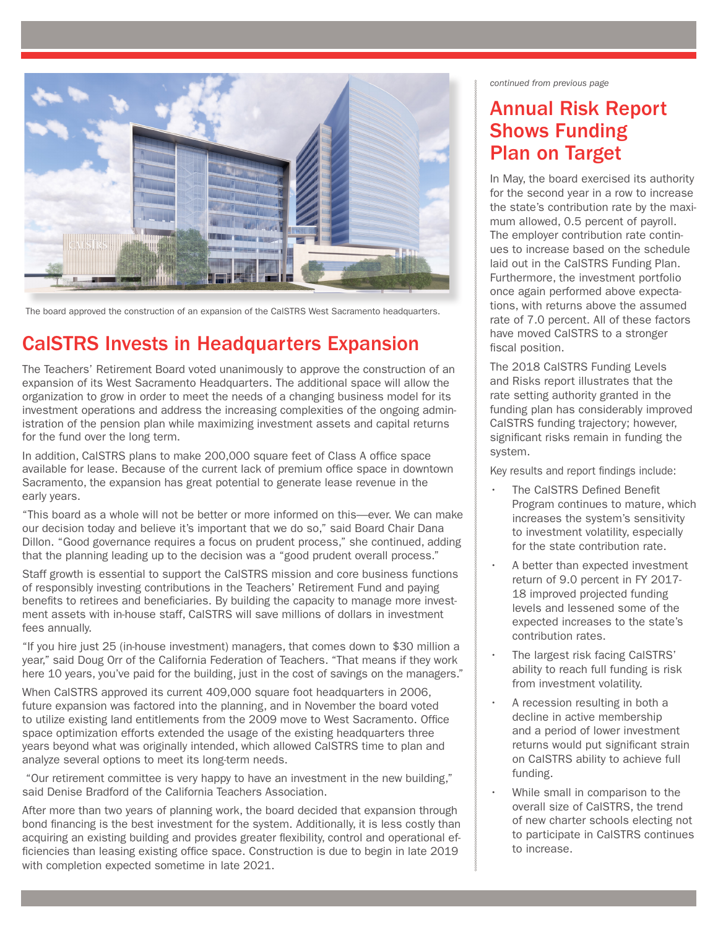

The board approved the construction of an expansion of the CalSTRS West Sacramento headquarters.

#### CalSTRS Invests in Headquarters Expansion

The Teachers' Retirement Board voted unanimously to approve the construction of an expansion of its West Sacramento Headquarters. The additional space will allow the organization to grow in order to meet the needs of a changing business model for its investment operations and address the increasing complexities of the ongoing administration of the pension plan while maximizing investment assets and capital returns for the fund over the long term.

In addition, CalSTRS plans to make 200,000 square feet of Class A office space available for lease. Because of the current lack of premium office space in downtown Sacramento, the expansion has great potential to generate lease revenue in the early years.

"This board as a whole will not be better or more informed on this—ever. We can make our decision today and believe it's important that we do so," said Board Chair Dana Dillon. "Good governance requires a focus on prudent process," she continued, adding that the planning leading up to the decision was a "good prudent overall process."

Staff growth is essential to support the CalSTRS mission and core business functions of responsibly investing contributions in the Teachers' Retirement Fund and paying benefits to retirees and beneficiaries. By building the capacity to manage more investment assets with in-house staff, CalSTRS will save millions of dollars in investment fees annually.

"If you hire just 25 (in-house investment) managers, that comes down to \$30 million a year," said Doug Orr of the California Federation of Teachers. "That means if they work here 10 years, you've paid for the building, just in the cost of savings on the managers."

When CalSTRS approved its current 409,000 square foot headquarters in 2006, future expansion was factored into the planning, and in November the board voted to utilize existing land entitlements from the 2009 move to West Sacramento. Office space optimization efforts extended the usage of the existing headquarters three years beyond what was originally intended, which allowed CalSTRS time to plan and analyze several options to meet its long-term needs.

 "Our retirement committee is very happy to have an investment in the new building," said Denise Bradford of the California Teachers Association.

After more than two years of planning work, the board decided that expansion through bond financing is the best investment for the system. Additionally, it is less costly than acquiring an existing building and provides greater flexibility, control and operational efficiencies than leasing existing office space. Construction is due to begin in late 2019 with completion expected sometime in late 2021.

*continued from previous page*

#### Annual Risk Report Shows Funding Plan on Target

In May, the board exercised its authority for the second year in a row to increase the state's contribution rate by the maximum allowed, 0.5 percent of payroll. The employer contribution rate continues to increase based on the schedule laid out in the CalSTRS Funding Plan. Furthermore, the investment portfolio once again performed above expectations, with returns above the assumed rate of 7.0 percent. All of these factors have moved CalSTRS to a stronger fiscal position.

The 2018 CalSTRS Funding Levels and Risks report illustrates that the rate setting authority granted in the funding plan has considerably improved CalSTRS funding trajectory; however, significant risks remain in funding the system.

Key results and report findings include:

- The CalSTRS Defined Benefit Program continues to mature, which increases the system's sensitivity to investment volatility, especially for the state contribution rate.
- A better than expected investment return of 9.0 percent in FY 2017- 18 improved projected funding levels and lessened some of the expected increases to the state's contribution rates.
- The largest risk facing CalSTRS' ability to reach full funding is risk from investment volatility.
- A recession resulting in both a decline in active membership and a period of lower investment returns would put significant strain on CalSTRS ability to achieve full funding.
- While small in comparison to the overall size of CalSTRS, the trend of new charter schools electing not to participate in CalSTRS continues to increase.